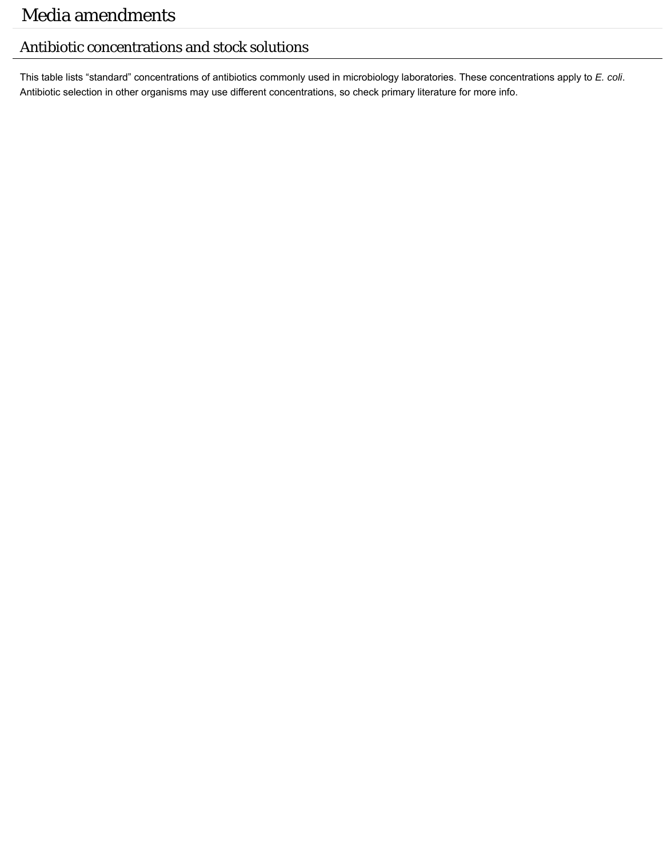## Antibiotic concentrations and stock solutions

This table lists "standard" concentrations of antibiotics commonly used in microbiology laboratories. These concentrations apply to *E. coli*. Antibiotic selection in other organisms may use different concentrations, so check primary literature for more info.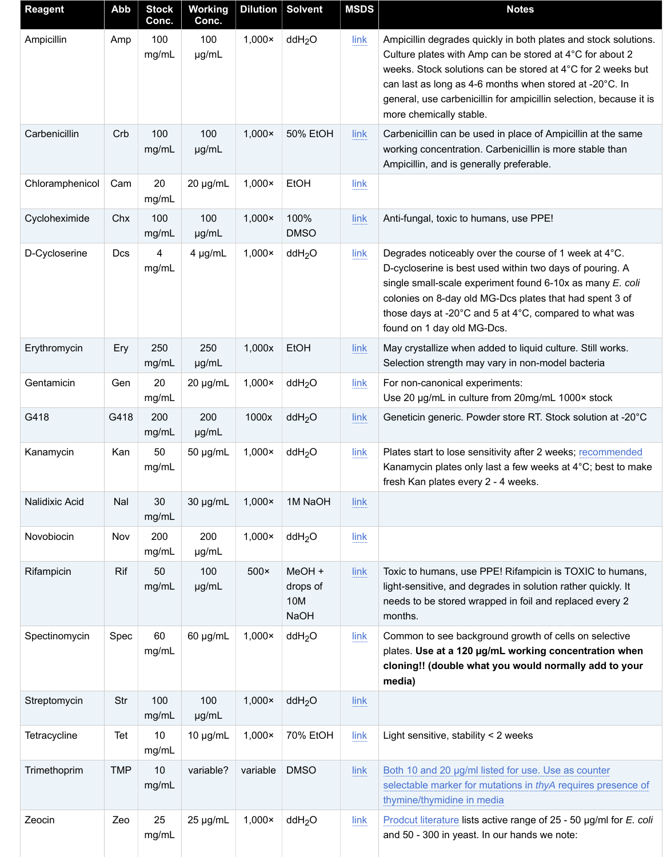| <b>Reagent</b>  | Abb        | <b>Stock</b><br>Conc. | <b>Working</b><br>Conc. |                | Dilution   Solvent                       | <b>MSDS</b> | <b>Notes</b>                                                                                                                                                                                                                                                                                                                                           |
|-----------------|------------|-----------------------|-------------------------|----------------|------------------------------------------|-------------|--------------------------------------------------------------------------------------------------------------------------------------------------------------------------------------------------------------------------------------------------------------------------------------------------------------------------------------------------------|
| Ampicillin      | Amp        | 100<br>mg/mL          | 100<br>µg/mL            | $1,000\times$  | ddH <sub>2</sub> O                       | link        | Ampicillin degrades quickly in both plates and stock solutions.<br>Culture plates with Amp can be stored at 4°C for about 2<br>weeks. Stock solutions can be stored at 4°C for 2 weeks but<br>can last as long as 4-6 months when stored at -20°C. In<br>general, use carbenicillin for ampicillin selection, because it is<br>more chemically stable. |
| Carbenicillin   | Crb        | 100<br>mg/mL          | 100<br>µg/mL            | $1,000\times$  | <b>50% EtOH</b>                          | link        | Carbenicillin can be used in place of Ampicillin at the same<br>working concentration. Carbenicillin is more stable than<br>Ampicillin, and is generally preferable.                                                                                                                                                                                   |
| Chloramphenicol | Cam        | 20<br>mg/mL           | 20 µg/mL                | $1,000\times$  | EtOH                                     | link        |                                                                                                                                                                                                                                                                                                                                                        |
| Cycloheximide   | Chx        | 100<br>mg/mL          | 100<br>µg/mL            | $1,000\times$  | 100%<br><b>DMSO</b>                      | link        | Anti-fungal, toxic to humans, use PPE!                                                                                                                                                                                                                                                                                                                 |
| D-Cycloserine   | Dcs        | 4<br>mg/mL            | 4 µg/mL                 | $1,000\times$  | ddH <sub>2</sub> O                       | link        | Degrades noticeably over the course of 1 week at 4°C.<br>D-cycloserine is best used within two days of pouring. A<br>single small-scale experiment found 6-10x as many E. coli<br>colonies on 8-day old MG-Dcs plates that had spent 3 of<br>those days at -20°C and 5 at 4°C, compared to what was<br>found on 1 day old MG-Dcs.                      |
| Erythromycin    | Ery        | 250<br>mg/mL          | 250<br>µg/mL            | 1,000x         | EtOH                                     | link        | May crystallize when added to liquid culture. Still works.<br>Selection strength may vary in non-model bacteria                                                                                                                                                                                                                                        |
| Gentamicin      | Gen        | 20<br>mg/mL           | 20 µg/mL                | $1,000\times$  | ddH <sub>2</sub> O                       | link        | For non-canonical experiments:<br>Use 20 µg/mL in culture from 20mg/mL 1000× stock                                                                                                                                                                                                                                                                     |
| G418            | G418       | 200<br>mg/mL          | 200<br>µg/mL            | 1000x          | ddH <sub>2</sub> O                       | link        | Geneticin generic. Powder store RT. Stock solution at -20°C                                                                                                                                                                                                                                                                                            |
| Kanamycin       | Kan        | 50<br>mg/mL           | 50 µg/mL                | $1,000\times$  | ddH <sub>2</sub> O                       | link        | Plates start to lose sensitivity after 2 weeks; recommended<br>Kanamycin plates only last a few weeks at 4°C; best to make<br>fresh Kan plates every 2 - 4 weeks.                                                                                                                                                                                      |
| Nalidixic Acid  | Nal        | 30<br>mg/mL           | 30 µg/mL                | $1,000\times$  | 1M NaOH                                  | link        |                                                                                                                                                                                                                                                                                                                                                        |
| Novobiocin      | Nov        | 200<br>mg/mL          | 200<br>µg/mL            | $1,000 \times$ | ddH <sub>2</sub> O                       | link        |                                                                                                                                                                                                                                                                                                                                                        |
| Rifampicin      | Rif        | 50<br>mg/mL           | 100<br>µg/mL            | $500\times$    | MeOH +<br>drops of<br>10M<br><b>NaOH</b> | link        | Toxic to humans, use PPE! Rifampicin is TOXIC to humans,<br>light-sensitive, and degrades in solution rather quickly. It<br>needs to be stored wrapped in foil and replaced every 2<br>months.                                                                                                                                                         |
| Spectinomycin   | Spec       | 60<br>mg/mL           | 60 µg/mL                | $1,000\times$  | ddH <sub>2</sub> O                       | link        | Common to see background growth of cells on selective<br>plates. Use at a 120 µg/mL working concentration when<br>cloning!! (double what you would normally add to your<br>media)                                                                                                                                                                      |
| Streptomycin    | Str        | 100<br>mg/mL          | 100<br>µg/mL            | $1,000\times$  | ddH <sub>2</sub> O                       | link        |                                                                                                                                                                                                                                                                                                                                                        |
| Tetracycline    | Tet        | 10<br>mg/mL           | 10 µg/mL                | $1,000 \times$ | 70% EtOH                                 | link        | Light sensitive, stability < 2 weeks                                                                                                                                                                                                                                                                                                                   |
| Trimethoprim    | <b>TMP</b> | 10<br>mg/mL           | variable?               | variable       | <b>DMSO</b>                              | link        | Both 10 and 20 µg/ml listed for use. Use as counter<br>selectable marker for mutations in thyA requires presence of<br>thymine/thymidine in media                                                                                                                                                                                                      |
| Zeocin          | Zeo        | 25<br>mg/mL           | 25 µg/mL                | $1,000 \times$ | ddH <sub>2</sub> O                       | link        | Prodcut literature lists active range of 25 - 50 µg/ml for E. coli<br>and 50 - 300 in yeast. In our hands we note:                                                                                                                                                                                                                                     |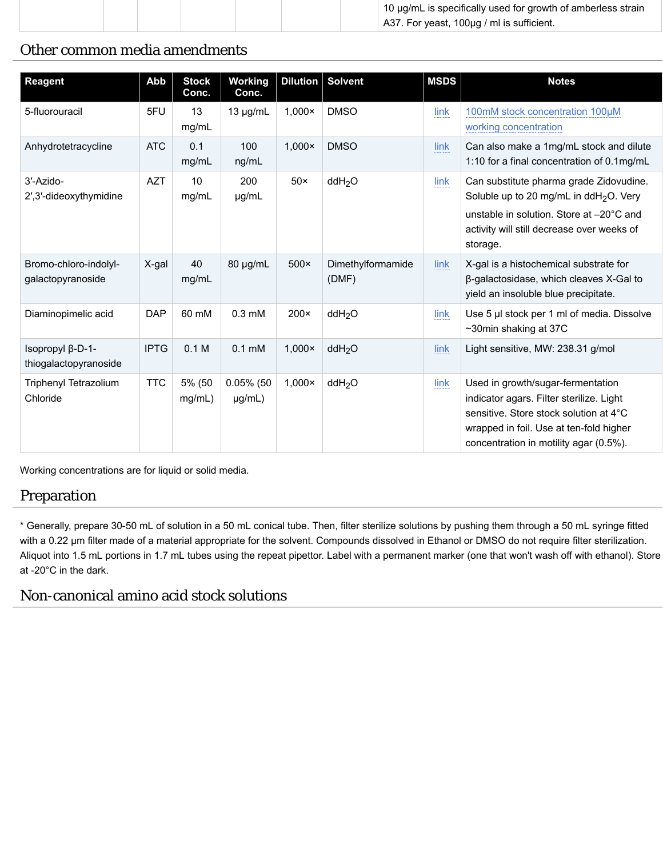|  | $\pm$ 10 µg/mL is specifically used for growth of amberless strain |
|--|--------------------------------------------------------------------|
|  | $\vert$ A37. For yeast, 100µg / ml is sufficient.                  |

## Other common media amendments

| Reagent                                    | Abb         | <b>Stock</b><br>Conc. | <b>Working</b><br>Conc. |                | Dilution Solvent           | <b>MSDS</b> | <b>Notes</b>                                                                                                                                                                                                 |
|--------------------------------------------|-------------|-----------------------|-------------------------|----------------|----------------------------|-------------|--------------------------------------------------------------------------------------------------------------------------------------------------------------------------------------------------------------|
| 5-fluorouracil                             | 5FU         | 13<br>mg/mL           | $13 \mu g/mL$           | $1,000 \times$ | <b>DMSO</b>                | link        | 100mM stock concentration 100µM<br>working concentration                                                                                                                                                     |
| Anhydrotetracycline                        | <b>ATC</b>  | 0.1<br>mg/mL          | 100<br>ng/mL            | $1,000 \times$ | <b>DMSO</b>                | link        | Can also make a 1mg/mL stock and dilute<br>1:10 for a final concentration of 0.1mg/mL                                                                                                                        |
| 3'-Azido-<br>2',3'-dideoxythymidine        | <b>AZT</b>  | 10<br>mg/mL           | 200<br>µg/mL            | $50\times$     | ddH <sub>2</sub> O         | link        | Can substitute pharma grade Zidovudine.<br>Soluble up to 20 mg/mL in ddH <sub>2</sub> O. Very<br>unstable in solution. Store at -20°C and<br>activity will still decrease over weeks of<br>storage.          |
| Bromo-chloro-indolyl-<br>galactopyranoside | X-gal       | 40<br>mg/mL           | 80 µg/mL                | $500\times$    | Dimethylformamide<br>(DMF) | link        | X-gal is a histochemical substrate for<br>β-galactosidase, which cleaves X-Gal to<br>yield an insoluble blue precipitate.                                                                                    |
| Diaminopimelic acid                        | <b>DAP</b>  | 60 mM                 | $0.3 \text{ mM}$        | $200 \times$   | ddH <sub>2</sub> O         | link        | Use 5 µl stock per 1 ml of media. Dissolve<br>~30min shaking at 37C                                                                                                                                          |
| Isopropyl β-D-1-<br>thiogalactopyranoside  | <b>IPTG</b> | 0.1 M                 | $0.1 \text{ mM}$        | $1,000\times$  | ddH <sub>2</sub> O         | link        | Light sensitive, MW: 238.31 g/mol                                                                                                                                                                            |
| <b>Triphenyl Tetrazolium</b><br>Chloride   | <b>TTC</b>  | 5% (50<br>mg/mL)      | $0.05\%$ (50<br>µg/mL)  | $1,000\times$  | ddH <sub>2</sub> O         | link        | Used in growth/sugar-fermentation<br>indicator agars. Filter sterilize. Light<br>sensitive. Store stock solution at 4°C<br>wrapped in foil. Use at ten-fold higher<br>concentration in motility agar (0.5%). |

Working concentrations are for liquid or solid media.

## Preparation

\* Generally, prepare 30-50 mL of solution in a 50 mL conical tube. Then, filter sterilize solutions by pushing them through a 50 mL syringe fitted with a 0.22 um filter made of a material appropriate for the solvent. Compounds dissolved in Ethanol or DMSO do not require filter sterilization. Aliquot into 1.5 mL portions in 1.7 mL tubes using the repeat pipettor. Label with a permanent marker (one that won't wash off with ethanol). Store at -20°C in the dark.

## Non-canonical amino acid stock solutions